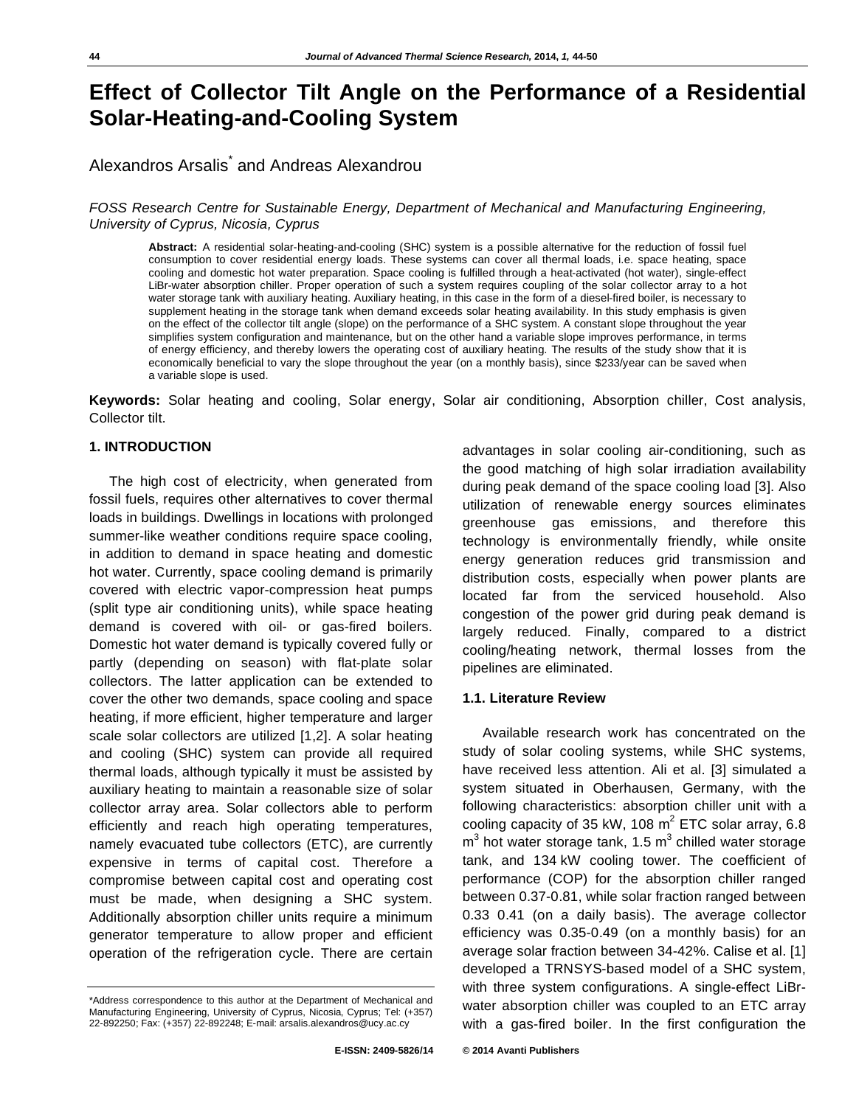# **Effect of Collector Tilt Angle on the Performance of a Residential Solar-Heating-and-Cooling System**

## Alexandros Arsalis<sup>\*</sup> and Andreas Alexandrou

## *FOSS Research Centre for Sustainable Energy, Department of Mechanical and Manufacturing Engineering, University of Cyprus, Nicosia, Cyprus*

**Abstract:** A residential solar-heating-and-cooling (SHC) system is a possible alternative for the reduction of fossil fuel consumption to cover residential energy loads. These systems can cover all thermal loads, i.e. space heating, space cooling and domestic hot water preparation. Space cooling is fulfilled through a heat-activated (hot water), single-effect LiBr-water absorption chiller. Proper operation of such a system requires coupling of the solar collector array to a hot water storage tank with auxiliary heating. Auxiliary heating, in this case in the form of a diesel-fired boiler, is necessary to supplement heating in the storage tank when demand exceeds solar heating availability. In this study emphasis is given on the effect of the collector tilt angle (slope) on the performance of a SHC system. A constant slope throughout the year simplifies system configuration and maintenance, but on the other hand a variable slope improves performance, in terms of energy efficiency, and thereby lowers the operating cost of auxiliary heating. The results of the study show that it is economically beneficial to vary the slope throughout the year (on a monthly basis), since \$233/year can be saved when a variable slope is used.

**Keywords:** Solar heating and cooling, Solar energy, Solar air conditioning, Absorption chiller, Cost analysis, Collector tilt.

## **1. INTRODUCTION**

The high cost of electricity, when generated from fossil fuels, requires other alternatives to cover thermal loads in buildings. Dwellings in locations with prolonged summer-like weather conditions require space cooling, in addition to demand in space heating and domestic hot water. Currently, space cooling demand is primarily covered with electric vapor-compression heat pumps (split type air conditioning units), while space heating demand is covered with oil- or gas-fired boilers. Domestic hot water demand is typically covered fully or partly (depending on season) with flat-plate solar collectors. The latter application can be extended to cover the other two demands, space cooling and space heating, if more efficient, higher temperature and larger scale solar collectors are utilized [1,2]. A solar heating and cooling (SHC) system can provide all required thermal loads, although typically it must be assisted by auxiliary heating to maintain a reasonable size of solar collector array area. Solar collectors able to perform efficiently and reach high operating temperatures, namely evacuated tube collectors (ETC), are currently expensive in terms of capital cost. Therefore a compromise between capital cost and operating cost must be made, when designing a SHC system. Additionally absorption chiller units require a minimum generator temperature to allow proper and efficient operation of the refrigeration cycle. There are certain

advantages in solar cooling air-conditioning, such as the good matching of high solar irradiation availability during peak demand of the space cooling load [3]. Also utilization of renewable energy sources eliminates greenhouse gas emissions, and therefore this technology is environmentally friendly, while onsite energy generation reduces grid transmission and distribution costs, especially when power plants are located far from the serviced household. Also congestion of the power grid during peak demand is largely reduced. Finally, compared to a district cooling/heating network, thermal losses from the pipelines are eliminated.

## **1.1. Literature Review**

Available research work has concentrated on the study of solar cooling systems, while SHC systems, have received less attention. Ali et al. [3] simulated a system situated in Oberhausen, Germany, with the following characteristics: absorption chiller unit with a cooling capacity of 35 kW, 108  $m^2$  ETC solar array, 6.8  $m<sup>3</sup>$  hot water storage tank, 1.5  $m<sup>3</sup>$  chilled water storage tank, and 134 kW cooling tower. The coefficient of performance (COP) for the absorption chiller ranged between 0.37-0.81, while solar fraction ranged between 0.33 0.41 (on a daily basis). The average collector efficiency was 0.35-0.49 (on a monthly basis) for an average solar fraction between 34-42%. Calise et al. [1] developed a TRNSYS-based model of a SHC system, with three system configurations. A single-effect LiBrwater absorption chiller was coupled to an ETC array with a gas-fired boiler. In the first configuration the

<sup>\*</sup>Address correspondence to this author at the Department of Mechanical and Manufacturing Engineering, University of Cyprus, Nicosia, Cyprus; Tel: (+357) 22-892250; Fax: (+357) 22-892248; E-mail: arsalis.alexandros@ucy.ac.cy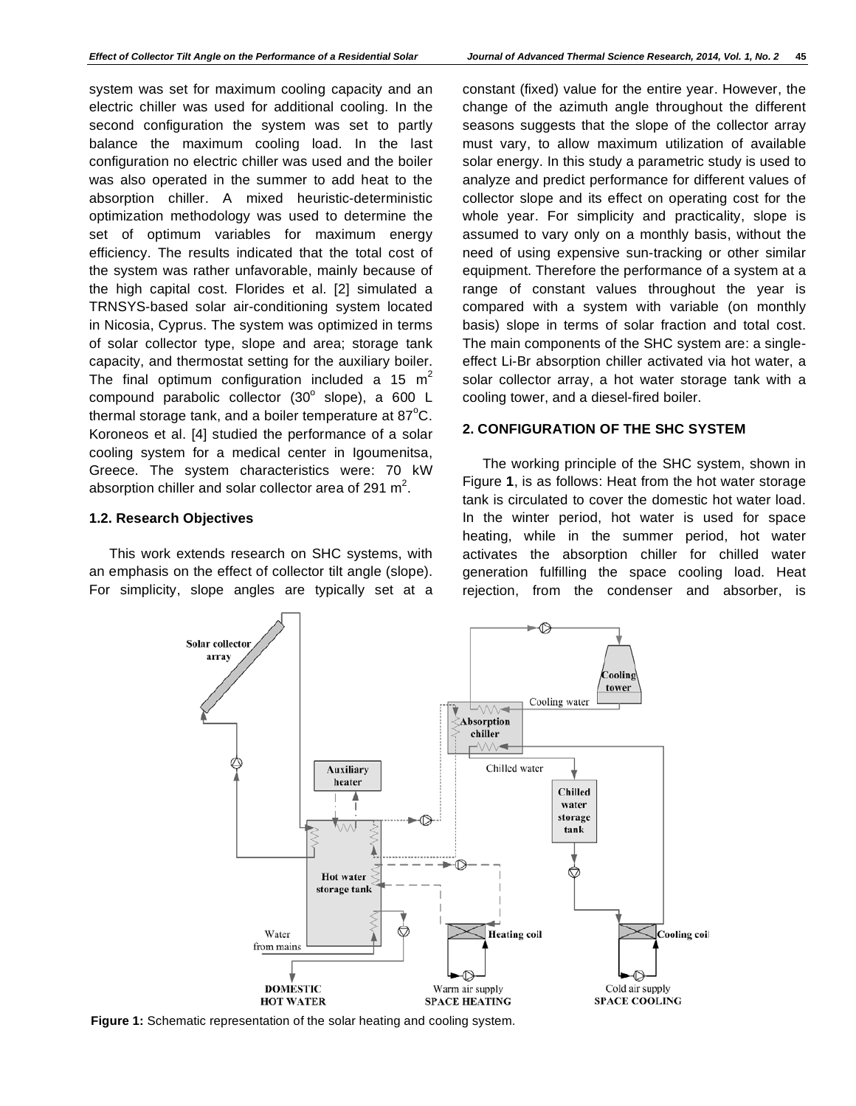system was set for maximum cooling capacity and an electric chiller was used for additional cooling. In the second configuration the system was set to partly balance the maximum cooling load. In the last configuration no electric chiller was used and the boiler was also operated in the summer to add heat to the absorption chiller. A mixed heuristic-deterministic optimization methodology was used to determine the set of optimum variables for maximum energy efficiency. The results indicated that the total cost of the system was rather unfavorable, mainly because of the high capital cost. Florides et al. [2] simulated a TRNSYS-based solar air-conditioning system located in Nicosia, Cyprus. The system was optimized in terms of solar collector type, slope and area; storage tank capacity, and thermostat setting for the auxiliary boiler. The final optimum configuration included a 15  $m<sup>2</sup>$ compound parabolic collector  $(30^{\circ}$  slope), a 600 L thermal storage tank, and a boiler temperature at 87 $\mathrm{^oC}$ . Koroneos et al. [4] studied the performance of a solar cooling system for a medical center in Igoumenitsa, Greece. The system characteristics were: 70 kW absorption chiller and solar collector area of 291  $m^2$ .

## **1.2. Research Objectives**

This work extends research on SHC systems, with an emphasis on the effect of collector tilt angle (slope). For simplicity, slope angles are typically set at a constant (fixed) value for the entire year. However, the change of the azimuth angle throughout the different seasons suggests that the slope of the collector array must vary, to allow maximum utilization of available solar energy. In this study a parametric study is used to analyze and predict performance for different values of collector slope and its effect on operating cost for the whole year. For simplicity and practicality, slope is assumed to vary only on a monthly basis, without the need of using expensive sun-tracking or other similar equipment. Therefore the performance of a system at a range of constant values throughout the year is compared with a system with variable (on monthly basis) slope in terms of solar fraction and total cost. The main components of the SHC system are: a singleeffect Li-Br absorption chiller activated via hot water, a solar collector array, a hot water storage tank with a cooling tower, and a diesel-fired boiler.

## **2. CONFIGURATION OF THE SHC SYSTEM**

The working principle of the SHC system, shown in Figure **1**, is as follows: Heat from the hot water storage tank is circulated to cover the domestic hot water load. In the winter period, hot water is used for space heating, while in the summer period, hot water activates the absorption chiller for chilled water generation fulfilling the space cooling load. Heat rejection, from the condenser and absorber, is



**Figure 1:** Schematic representation of the solar heating and cooling system.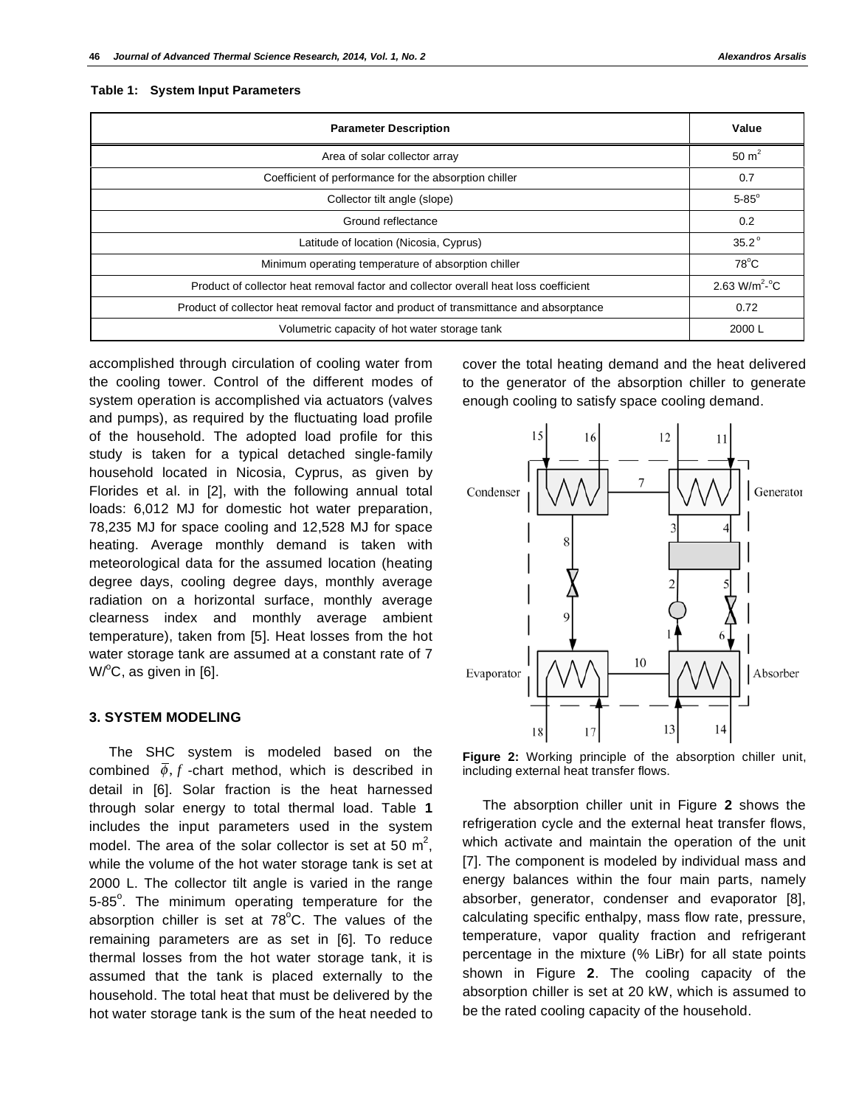#### **Table 1: System Input Parameters**

| <b>Parameter Description</b>                                                          | Value                     |
|---------------------------------------------------------------------------------------|---------------------------|
| Area of solar collector array                                                         | 50 $m2$                   |
| Coefficient of performance for the absorption chiller                                 | 0.7                       |
| Collector tilt angle (slope)                                                          | $5-85^\circ$              |
| Ground reflectance                                                                    | 0.2                       |
| Latitude of location (Nicosia, Cyprus)                                                | $35.2^\circ$              |
| Minimum operating temperature of absorption chiller                                   | $78^{\circ}$ C            |
| Product of collector heat removal factor and collector overall heat loss coefficient  | 2.63 W/m <sup>2.°</sup> C |
| Product of collector heat removal factor and product of transmittance and absorptance | 0.72                      |
| Volumetric capacity of hot water storage tank                                         | 2000 L                    |

accomplished through circulation of cooling water from the cooling tower. Control of the different modes of system operation is accomplished via actuators (valves and pumps), as required by the fluctuating load profile of the household. The adopted load profile for this study is taken for a typical detached single-family household located in Nicosia, Cyprus, as given by Florides et al. in [2], with the following annual total loads: 6,012 MJ for domestic hot water preparation, 78,235 MJ for space cooling and 12,528 MJ for space heating. Average monthly demand is taken with meteorological data for the assumed location (heating degree days, cooling degree days, monthly average radiation on a horizontal surface, monthly average clearness index and monthly average ambient temperature), taken from [5]. Heat losses from the hot water storage tank are assumed at a constant rate of 7  $W$ <sup>o</sup>C, as given in [6].

#### **3. SYSTEM MODELING**

The SHC system is modeled based on the combined  $\bar{\phi}$ , *f* -chart method, which is described in detail in [6]. Solar fraction is the heat harnessed through solar energy to total thermal load. Table **1** includes the input parameters used in the system model. The area of the solar collector is set at 50  $m^2$ , while the volume of the hot water storage tank is set at 2000 L. The collector tilt angle is varied in the range 5-85<sup>°</sup>. The minimum operating temperature for the absorption chiller is set at  $78^{\circ}$ C. The values of the remaining parameters are as set in [6]. To reduce thermal losses from the hot water storage tank, it is assumed that the tank is placed externally to the household. The total heat that must be delivered by the hot water storage tank is the sum of the heat needed to

cover the total heating demand and the heat delivered to the generator of the absorption chiller to generate enough cooling to satisfy space cooling demand.



**Figure 2:** Working principle of the absorption chiller unit, including external heat transfer flows.

The absorption chiller unit in Figure **2** shows the refrigeration cycle and the external heat transfer flows, which activate and maintain the operation of the unit [7]. The component is modeled by individual mass and energy balances within the four main parts, namely absorber, generator, condenser and evaporator [8], calculating specific enthalpy, mass flow rate, pressure, temperature, vapor quality fraction and refrigerant percentage in the mixture (% LiBr) for all state points shown in Figure **2**. The cooling capacity of the absorption chiller is set at 20 kW, which is assumed to be the rated cooling capacity of the household.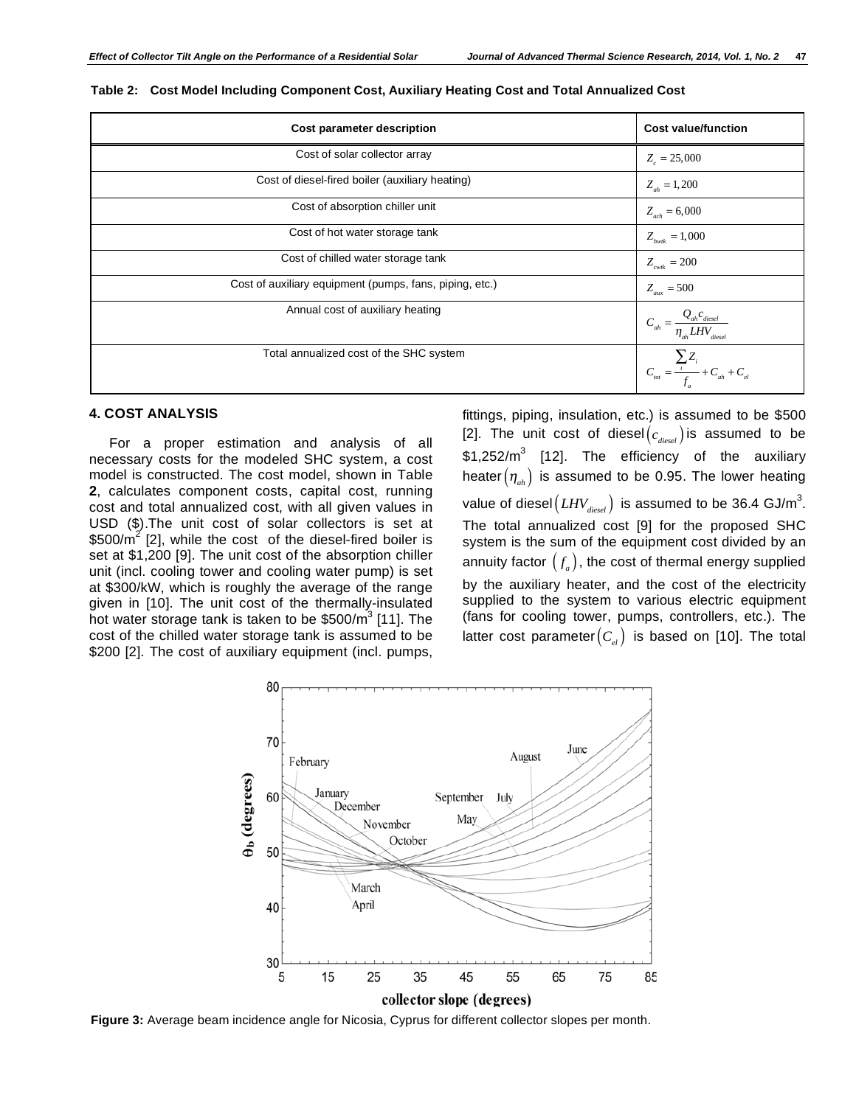| Cost parameter description                              | <b>Cost value/function</b>                                                |
|---------------------------------------------------------|---------------------------------------------------------------------------|
| Cost of solar collector array                           | $Z_{0} = 25,000$                                                          |
| Cost of diesel-fired boiler (auxiliary heating)         | $Z_{ab} = 1,200$                                                          |
| Cost of absorption chiller unit                         | $Z_{ach} = 6,000$                                                         |
| Cost of hot water storage tank                          | $Z_{hwh} = 1,000$                                                         |
| Cost of chilled water storage tank                      | $Z_{\text{cwtk}} = 200$                                                   |
| Cost of auxiliary equipment (pumps, fans, piping, etc.) | $Z_{\text{aux}} = 500$                                                    |
| Annual cost of auxiliary heating                        | $C_{_{ah}} = \frac{Q_{_{ah}}c_{_{diesel}}}{\eta_{_{ah}} LHV_{_{diesel}}}$ |
| Total annualized cost of the SHC system                 | $C_{tot} = \frac{\sum_{i} Z_{i}}{f_{a}} + C_{ah} + C_{el}$                |

## **4. COST ANALYSIS**

For a proper estimation and analysis of all necessary costs for the modeled SHC system, a cost model is constructed. The cost model, shown in Table **2**, calculates component costs, capital cost, running cost and total annualized cost, with all given values in USD (\$).The unit cost of solar collectors is set at \$500/ $\overline{m}^2$  [2], while the cost of the diesel-fired boiler is set at \$1,200 [9]. The unit cost of the absorption chiller unit (incl. cooling tower and cooling water pump) is set at \$300/kW, which is roughly the average of the range given in [10]. The unit cost of the thermally-insulated not water storage tank is taken to be \$500/m<sup>3</sup> [11]. The cost of the chilled water storage tank is assumed to be \$200 [2]. The cost of auxiliary equipment (incl. pumps,

fittings, piping, insulation, etc.) is assumed to be \$500 [2]. The unit cost of diesel  $(c_{\text{direct}})$  is assumed to be  $$1,252/m^3$  [12]. The efficiency of the auxiliary heater  $(\eta_{ab})$  is assumed to be 0.95. The lower heating value of diesel $\left(\textit{LHV}_{\textit{diesel}}\right)$  is assumed to be 36.4 GJ/m<sup>3</sup>. The total annualized cost [9] for the proposed SHC system is the sum of the equipment cost divided by an annuity factor  $(f_a)$ , the cost of thermal energy supplied by the auxiliary heater, and the cost of the electricity supplied to the system to various electric equipment (fans for cooling tower, pumps, controllers, etc.). The latter cost parameter  $(C_{el})$  is based on [10]. The total



**Figure 3:** Average beam incidence angle for Nicosia, Cyprus for different collector slopes per month.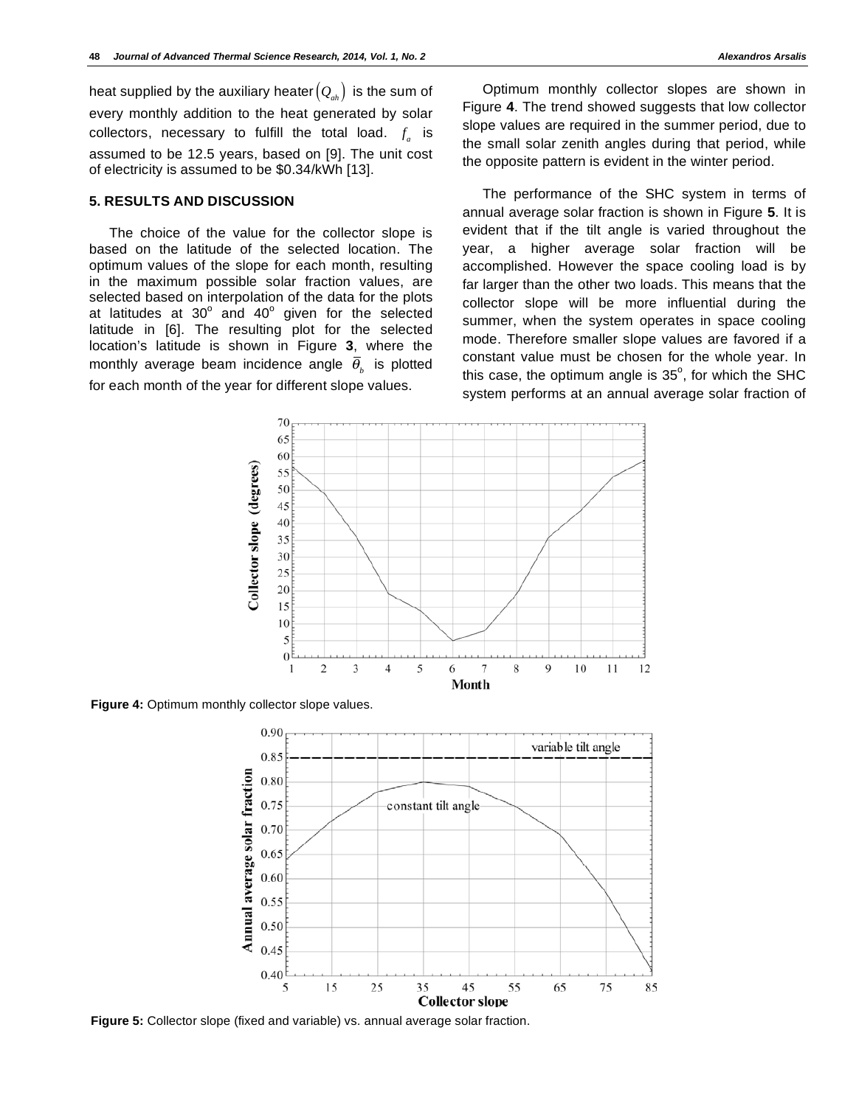heat supplied by the auxiliary heater  $(Q_{ab})$  is the sum of every monthly addition to the heat generated by solar collectors, necessary to fulfill the total load.  $f_a$  is assumed to be 12.5 years, based on [9]. The unit cost of electricity is assumed to be \$0.34/kWh [13].

## **5. RESULTS AND DISCUSSION**

The choice of the value for the collector slope is based on the latitude of the selected location. The optimum values of the slope for each month, resulting in the maximum possible solar fraction values, are selected based on interpolation of the data for the plots at latitudes at  $30^{\circ}$  and  $40^{\circ}$  given for the selected latitude in [6]. The resulting plot for the selected location's latitude is shown in Figure **3**, where the monthly average beam incidence angle  $\overline{\theta}_k$  is plotted for each month of the year for different slope values.

Optimum monthly collector slopes are shown in Figure **4**. The trend showed suggests that low collector slope values are required in the summer period, due to the small solar zenith angles during that period, while the opposite pattern is evident in the winter period.

The performance of the SHC system in terms of annual average solar fraction is shown in Figure **5**. It is evident that if the tilt angle is varied throughout the year, a higher average solar fraction will be accomplished. However the space cooling load is by far larger than the other two loads. This means that the collector slope will be more influential during the summer, when the system operates in space cooling mode. Therefore smaller slope values are favored if a constant value must be chosen for the whole year. In this case, the optimum angle is  $35^\circ$ , for which the SHC system performs at an annual average solar fraction of



**Figure 4:** Optimum monthly collector slope values.



**Figure 5:** Collector slope (fixed and variable) vs. annual average solar fraction.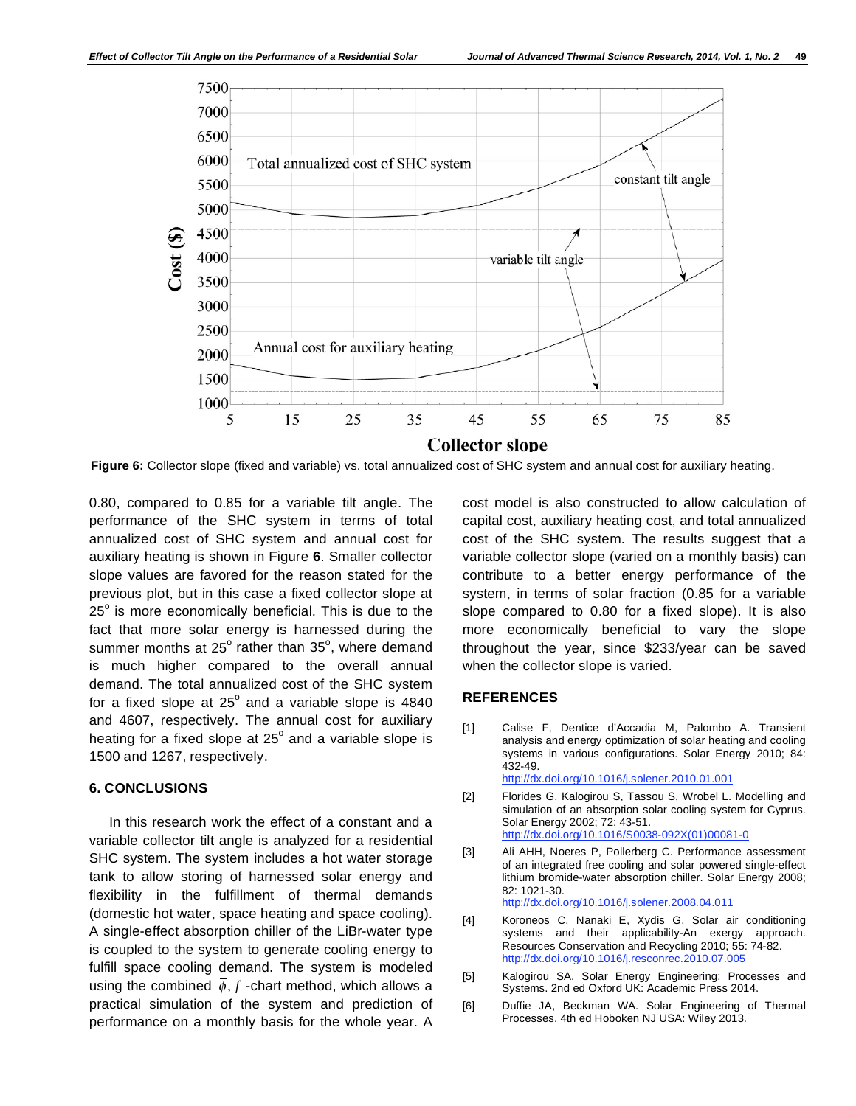

**Figure 6:** Collector slope (fixed and variable) vs. total annualized cost of SHC system and annual cost for auxiliary heating.

0.80, compared to 0.85 for a variable tilt angle. The performance of the SHC system in terms of total annualized cost of SHC system and annual cost for auxiliary heating is shown in Figure **6**. Smaller collector slope values are favored for the reason stated for the previous plot, but in this case a fixed collector slope at  $25^{\circ}$  is more economically beneficial. This is due to the fact that more solar energy is harnessed during the summer months at 25 $^{\circ}$  rather than 35 $^{\circ}$ , where demand is much higher compared to the overall annual demand. The total annualized cost of the SHC system for a fixed slope at  $25^{\circ}$  and a variable slope is 4840 and 4607, respectively. The annual cost for auxiliary heating for a fixed slope at 25 $^{\circ}$  and a variable slope is 1500 and 1267, respectively.

## **6. CONCLUSIONS**

In this research work the effect of a constant and a variable collector tilt angle is analyzed for a residential SHC system. The system includes a hot water storage tank to allow storing of harnessed solar energy and flexibility in the fulfillment of thermal demands (domestic hot water, space heating and space cooling). A single-effect absorption chiller of the LiBr-water type is coupled to the system to generate cooling energy to fulfill space cooling demand. The system is modeled using the combined  $\overline{\phi}$ , *f* -chart method, which allows a practical simulation of the system and prediction of performance on a monthly basis for the whole year. A

cost model is also constructed to allow calculation of capital cost, auxiliary heating cost, and total annualized cost of the SHC system. The results suggest that a variable collector slope (varied on a monthly basis) can contribute to a better energy performance of the system, in terms of solar fraction (0.85 for a variable slope compared to 0.80 for a fixed slope). It is also more economically beneficial to vary the slope throughout the year, since \$233/year can be saved when the collector slope is varied.

## **REFERENCES**

- [1] Calise F, Dentice d'Accadia M, Palombo A. Transient analysis and energy optimization of solar heating and cooling systems in various configurations. Solar Energy 2010; 84: 432-49. http://dx.doi.org/10.1016/j.solener.2010.01.001
- [2] Florides G, Kalogirou S, Tassou S, Wrobel L. Modelling and simulation of an absorption solar cooling system for Cyprus. Solar Energy 2002; 72: 43-51. http://dx.doi.org/10.1016/S0038-092X(01)00081-0
- [3] Ali AHH, Noeres P, Pollerberg C. Performance assessment of an integrated free cooling and solar powered single-effect lithium bromide-water absorption chiller. Solar Energy 2008; 82: 1021-30. http://dx.doi.org/10.1016/j.solener.2008.04.011
- [4] Koroneos C, Nanaki E, Xydis G. Solar air conditioning systems and their applicability-An exergy approach. Resources Conservation and Recycling 2010; 55: 74-82. http://dx.doi.org/10.1016/j.resconrec.2010.07.005
- [5] Kalogirou SA. Solar Energy Engineering: Processes and Systems. 2nd ed Oxford UK: Academic Press 2014.
- [6] Duffie JA, Beckman WA. Solar Engineering of Thermal Processes. 4th ed Hoboken NJ USA: Wiley 2013.